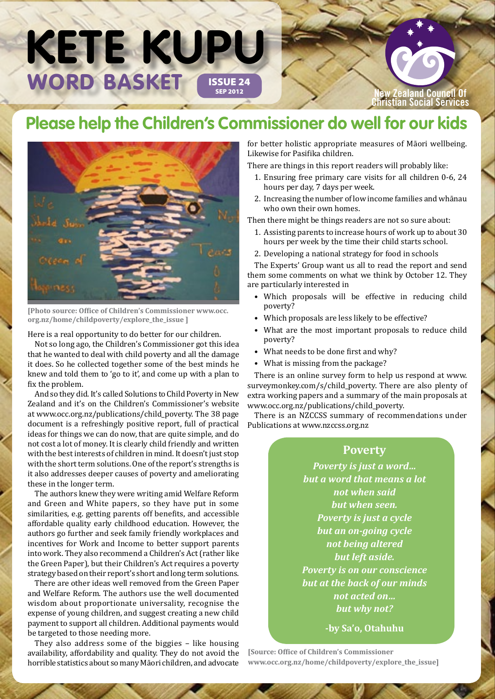## WORD BASKET ISSUE 24 **KETE KUPU**

**New Zealand Council Of Christian Social Services**

### **Please help the Children's Commissioner do well for our kids**



**[Photo source: Office of Children's Commissioner [www.occ.](http://www.occ.org.nz/home/childpoverty/explore_the_issue) [org.nz/home/childpoverty/explore\\_the\\_issue](http://www.occ.org.nz/home/childpoverty/explore_the_issue) ]**

Here is a real opportunity to do better for our children.

Not so long ago, the Children's Commissioner got this idea that he wanted to deal with child poverty and all the damage it does. So he collected together some of the best minds he knew and told them to 'go to it', and come up with a plan to fix the problem.

And so they did. It's called Solutions to Child Poverty in New Zealand and it's on the Children's Commissioner's website at [www.occ.org.nz/publications/child\\_poverty.](http://www.occ.org.nz/publications/child_poverty) The 38 page document is a refreshingly positive report, full of practical ideas for things we can do now, that are quite simple, and do not cost a lot of money. It is clearly child friendly and written with the best interests of children in mind. It doesn't just stop with the short term solutions. One of the report's strengths is it also addresses deeper causes of poverty and ameliorating these in the longer term.

The authors knew they were writing amid Welfare Reform and Green and White papers, so they have put in some similarities, e.g. getting parents off benefits, and accessible affordable quality early childhood education. However, the authors go further and seek family friendly workplaces and incentives for Work and Income to better support parents into work. They also recommend a Children's Act (rather like the Green Paper), but their Children's Act requires a poverty strategy based on their report's short and long term solutions.

There are other ideas well removed from the Green Paper and Welfare Reform. The authors use the well documented wisdom about proportionate universality, recognise the expense of young children, and suggest creating a new child payment to support all children. Additional payments would be targeted to those needing more.

They also address some of the biggies – like housing availability, affordability and quality. They do not avoid the horrible statistics about so many Māori children, and advocate

for better holistic appropriate measures of Māori wellbeing. Likewise for Pasifika children.

There are things in this report readers will probably like:

- 1. Ensuring free primary care visits for all children 0-6, 24 hours per day, 7 days per week.
- 2. Increasing the number of low income families and whānau who own their own homes.

Then there might be things readers are not so sure about:

- 1. Assisting parents to increase hours of work up to about 30 hours per week by the time their child starts school.
- 2. Developing a national strategy for food in schools

The Experts' Group want us all to read the report and send them some comments on what we think by October 12. They are particularly interested in

- Which proposals will be effective in reducing child poverty?
- Which proposals are less likely to be effective?
- What are the most important proposals to reduce child poverty?
- What needs to be done first and why?
- What is missing from the package?

There is an online survey form to help us respond at [www.](https://www.surveymonkey.com/s/child_poverty) [surveymonkey.com/s/child\\_poverty](https://www.surveymonkey.com/s/child_poverty). There are also plenty of extra working papers and a summary of the main proposals at [www.occ.org.nz/publications/child\\_poverty](http://www.occ.org.nz/publications/child_poverty).

There is an NZCCSS summary of recommendations under Publications at<www.nzccss.org.nz>

### **Poverty**

*Poverty is just a word… but a word that means a lot not when said but when seen. Poverty is just a cycle but an on-going cycle not being altered but left aside. Poverty is on our conscience but at the back of our minds not acted on… but why not?*

**-by Sa'o, Otahuhu**

**[Source: Office of Children's Commissioner [www.occ.org.nz/home/childpoverty/explore\\_the\\_issue\]](http://www.occ.org.nz/home/childpoverty/explore_the_issue/statements/sao)**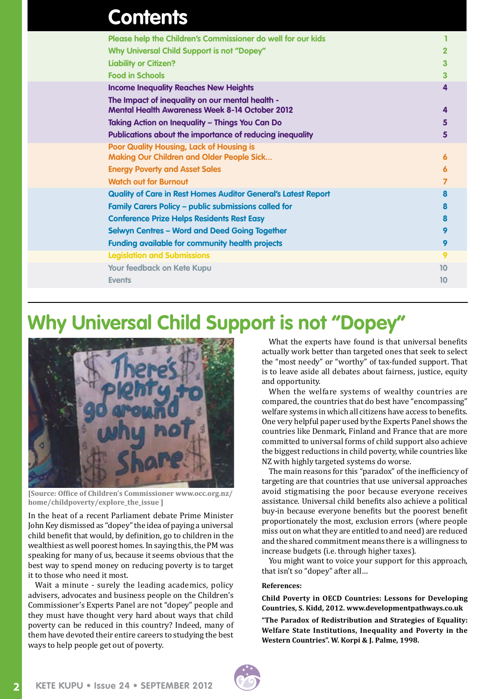| <b>Contents</b>                                                                                     |    |
|-----------------------------------------------------------------------------------------------------|----|
| Please help the Children's Commissioner do well for our kids                                        |    |
| Why Universal Child Support is not "Dopey"                                                          | 2  |
| <b>Liability or Citizen?</b>                                                                        | 3  |
| <b>Food in Schools</b>                                                                              | 3  |
| <b>Income Inequality Reaches New Heights</b>                                                        | 4  |
| The Impact of inequality on our mental health -                                                     |    |
| <b>Mental Health Awareness Week 8-14 October 2012</b>                                               | 4  |
| <b>Taking Action on Inequality - Things You Can Do</b>                                              | 5  |
| Publications about the importance of reducing inequality                                            | 5  |
| <b>Poor Quality Housing, Lack of Housing is</b><br><b>Making Our Children and Older People Sick</b> | 6  |
| <b>Energy Poverty and Asset Sales</b>                                                               | 6  |
| <b>Watch out for Burnout</b>                                                                        | 7  |
| <b>Quality of Care in Rest Homes Auditor General's Latest Report</b>                                | 8  |
| <b>Family Carers Policy - public submissions called for</b>                                         | 8  |
| <b>Conference Prize Helps Residents Rest Easy</b>                                                   | 8  |
| <b>Selwyn Centres - Word and Deed Going Together</b>                                                | 9  |
| <b>Funding available for community health projects</b>                                              | 9  |
| <b>Legislation and Submissions</b>                                                                  | 9  |
| Your feedback on Kete Kupu                                                                          | 10 |
| <b>Events</b>                                                                                       | 10 |
|                                                                                                     |    |

### **Why Universal Child Support is not "Dopey"**



**[Source: Office of Children's Commissioner [www.occ.org.nz/](http://www.occ.org.nz/home/childpoverty/explore_the_issue) [home/childpoverty/explore\\_the\\_issue](http://www.occ.org.nz/home/childpoverty/explore_the_issue) ]**

In the heat of a recent Parliament debate Prime Minister John Key dismissed as "dopey" the idea of paying a universal child benefit that would, by definition, go to children in the wealthiest as well poorest homes. In saying this, the PM was speaking for many of us, because it seems obvious that the best way to spend money on reducing poverty is to target it to those who need it most.

Wait a minute - surely the leading academics, policy advisers, advocates and business people on the Children's Commissioner's Experts Panel are not "dopey" people and they must have thought very hard about ways that child poverty can be reduced in this country? Indeed, many of them have devoted their entire careers to studying the best ways to help people get out of poverty.

What the experts have found is that universal benefits actually work better than targeted ones that seek to select the "most needy" or "worthy" of tax-funded support. That is to leave aside all debates about fairness, justice, equity and opportunity.

When the welfare systems of wealthy countries are compared, the countries that do best have "encompassing" welfare systems in which all citizens have access to benefits. One very helpful paper used by the Experts Panel shows the countries like Denmark, Finland and France that are more committed to universal forms of child support also achieve the biggest reductions in child poverty, while countries like NZ with highly targeted systems do worse.

The main reasons for this "paradox" of the inefficiency of targeting are that countries that use universal approaches avoid stigmatising the poor because everyone receives assistance. Universal child benefits also achieve a political buy-in because everyone benefits but the poorest benefit proportionately the most, exclusion errors (where people miss out on what they are entitled to and need) are reduced and the shared commitment means there is a willingness to increase budgets (i.e. through higher taxes).

You might want to voice your support for this approach, that isn't so "dopey" after all…

#### **References:**

**Child Poverty in OECD Countries: Lessons for Developing Countries, S. Kidd, 2012. [www.developmentpathways.co.uk](http://www.developmentpathways.co.uk/news/pathways)** 

**"The Paradox of Redistribution and Strategies of Equality: Welfare State Institutions, Inequality and Poverty in the Western Countries". W. Korpi & J. Palme, 1998.** 

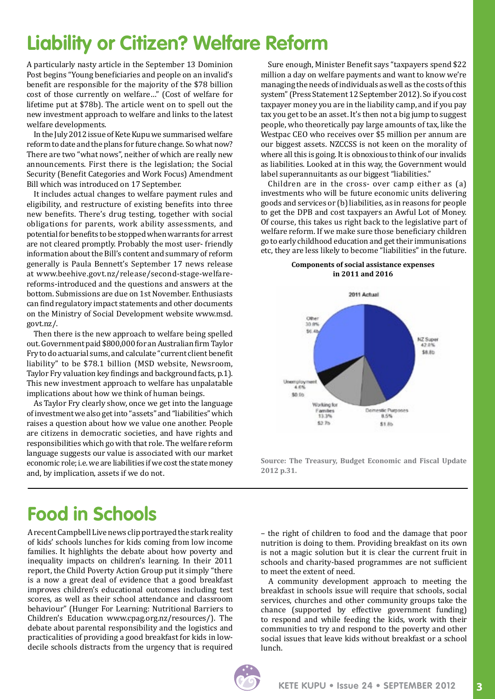### **Liability or Citizen? Welfare Reform**

A particularly nasty article in the September 13 Dominion Post begins "Young beneficiaries and people on an invalid's benefit are responsible for the majority of the \$78 billion cost of those currently on welfare…" (Cost of welfare for lifetime put at \$78b). The article went on to spell out the new investment approach to welfare and links to the latest welfare developments.

In the July 2012 issue of Kete Kupu we summarised welfare reform to date and the plans for future change. So what now? There are two "what nows", neither of which are really new announcements. First there is the legislation; the Social Security (Benefit Categories and Work Focus) Amendment Bill which was introduced on 17 September.

It includes actual changes to welfare payment rules and eligibility, and restructure of existing benefits into three new benefits. There's drug testing, together with social obligations for parents, work ability assessments, and potential for benefits to be stopped when warrants for arrest are not cleared promptly. Probably the most user- friendly information about the Bill's content and summary of reform generally is Paula Bennett's September 17 news release at www.beehive.govt.nz/release/second-stage-welfarereforms-introduced and the questions and answers at the bottom. Submissions are due on 1st November. Enthusiasts can find regulatory impact statements and other documents on the Ministry of Social Development website [www.msd.](http://www.msd.govt.nz) [govt.nz/](http://www.msd.govt.nz).

Then there is the new approach to welfare being spelled out. Government paid \$800,000 for an Australian firm Taylor Fry to do actuarial sums, and calculate "current client benefit liability" to be \$78.1 billion (MSD website, Newsroom, Taylor Fry valuation key findings and background facts, p.1). This new investment approach to welfare has unpalatable implications about how we think of human beings.

As Taylor Fry clearly show, once we get into the language of investment we also get into "assets" and "liabilities" which raises a question about how we value one another. People are citizens in democratic societies, and have rights and responsibilities which go with that role. The welfare reform language suggests our value is associated with our market economic role; i.e. we are liabilities if we cost the state money and, by implication, assets if we do not.

Sure enough, Minister Benefit says "taxpayers spend \$22 million a day on welfare payments and want to know we're managing the needs of individuals as well as the costs of this system" (Press Statement 12 September 2012). So if you cost taxpayer money you are in the liability camp, and if you pay tax you get to be an asset. It's then not a big jump to suggest people, who theoretically pay large amounts of tax, like the Westpac CEO who receives over \$5 million per annum are our biggest assets. NZCCSS is not keen on the morality of where all this is going. It is obnoxious to think of our invalids as liabilities. Looked at in this way, the Government would label superannuitants as our biggest "liabilities."

Children are in the cross- over camp either as (a) investments who will be future economic units delivering goods and services or (b) liabilities, as in reasons for people to get the DPB and cost taxpayers an Awful Lot of Money. Of course, this takes us right back to the legislative part of welfare reform. If we make sure those beneficiary children go to early childhood education and get their immunisations etc, they are less likely to become "liabilities" in the future.

#### **Components of social assistance expenses in 2011 and 2016**



**Source: The Treasury, Budget Economic and Fiscal Update 2012 p.31.** 

### **Food in Schools**

A recent Campbell Live news clip portrayed the stark reality of kids' schools lunches for kids coming from low income families. It highlights the debate about how poverty and inequality impacts on children's learning. In their 2011 report, the Child Poverty Action Group put it simply "there is a now a great deal of evidence that a good breakfast improves children's educational outcomes including test scores, as well as their school attendance and classroom behaviour" (Hunger For Learning: Nutritional Barriers to Children's Education [www.cpag.org.nz/resources](http://www.cpag.org.nz/resources)/). The debate about parental responsibility and the logistics and practicalities of providing a good breakfast for kids in lowdecile schools distracts from the urgency that is required

– the right of children to food and the damage that poor nutrition is doing to them. Providing breakfast on its own is not a magic solution but it is clear the current fruit in schools and charity-based programmes are not sufficient to meet the extent of need.

A community development approach to meeting the breakfast in schools issue will require that schools, social services, churches and other community groups take the chance (supported by effective government funding) to respond and while feeding the kids, work with their communities to try and respond to the poverty and other social issues that leave kids without breakfast or a school lunch.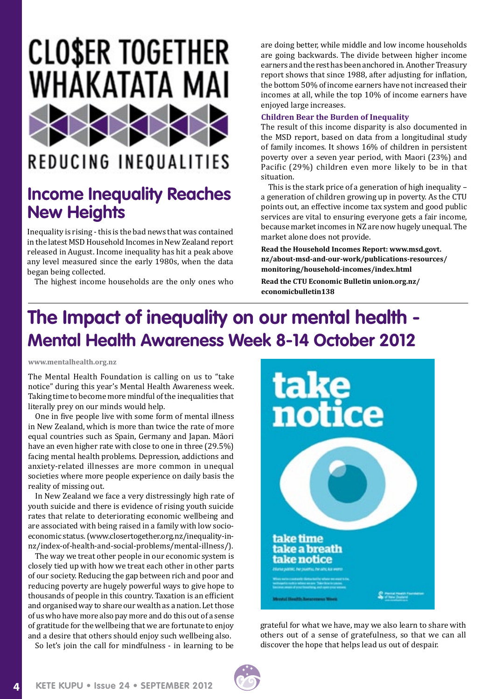# **CLOSER TOGETHER** WHAKATATA MAI

### **REDUCING INEQUALITIES**

### **Income Inequality Reaches New Heights**

Inequality is rising - this is the bad news that was contained in the latest MSD Household Incomes in New Zealand report released in August. Income inequality has hit a peak above any level measured since the early 1980s, when the data began being collected.

The highest income households are the only ones who

are doing better, while middle and low income households are going backwards. The divide between higher income earners and the rest has been anchored in. Another Treasury report shows that since 1988, after adjusting for inflation, the bottom 50% of income earners have not increased their incomes at all, while the top 10% of income earners have enjoyed large increases.

#### **Children Bear the Burden of Inequality**

The result of this income disparity is also documented in the MSD report, based on data from a longitudinal study of family incomes. It shows 16% of children in persistent poverty over a seven year period, with Maori (23%) and Pacific (29%) children even more likely to be in that situation.

This is the stark price of a generation of high inequality – a generation of children growing up in poverty. As the CTU points out, an effective income tax system and good public services are vital to ensuring everyone gets a fair income, because market incomes in NZ are now hugely unequal. The market alone does not provide.

**Read the Household Incomes Report: [www.msd.govt.](http://www.msd.govt.nz/about-msd-and-our-work/publications-resources/monitoring/household-incomes/index.html) [nz/about-msd-and-our-work/publications-resources/](http://www.msd.govt.nz/about-msd-and-our-work/publications-resources/monitoring/household-incomes/index.html) [monitoring/household-incomes/index.html](http://www.msd.govt.nz/about-msd-and-our-work/publications-resources/monitoring/household-incomes/index.html)** 

**Read the CTU Economic Bulletin [union.org.nz/](http://union.org.nz/economicbulletin138) [economicbulletin138](http://union.org.nz/economicbulletin138)** 

### **The Impact of inequality on our mental health - Mental Health Awareness Week 8-14 October 2012**

**[www.mentalhealth.org.nz](http://www.mentalhealth.org.nz)**

The Mental Health Foundation is calling on us to "take notice" during this year's Mental Health Awareness week. Taking time to become more mindful of the inequalities that literally prey on our minds would help.

One in five people live with some form of mental illness in New Zealand, which is more than twice the rate of more equal countries such as Spain, Germany and Japan. Māori have an even higher rate with close to one in three (29.5%) facing mental health problems. Depression, addictions and anxiety-related illnesses are more common in unequal societies where more people experience on daily basis the reality of missing out.

In New Zealand we face a very distressingly high rate of youth suicide and there is evidence of rising youth suicide rates that relate to deteriorating economic wellbeing and are associated with being raised in a family with low socioeconomic status. (www.closertogether.org.nz/inequality-innz/index-of-health-and-social-problems/mental-illness/).

The way we treat other people in our economic system is closely tied up with how we treat each other in other parts of our society. Reducing the gap between rich and poor and reducing poverty are hugely powerful ways to give hope to thousands of people in this country. Taxation is an efficient and organised way to share our wealth as a nation. Let those of us who have more also pay more and do this out of a sense of gratitude for the wellbeing that we are fortunate to enjoy and a desire that others should enjoy such wellbeing also.

So let's join the call for mindfulness - in learning to be



grateful for what we have, may we also learn to share with others out of a sense of gratefulness, so that we can all discover the hope that helps lead us out of despair.



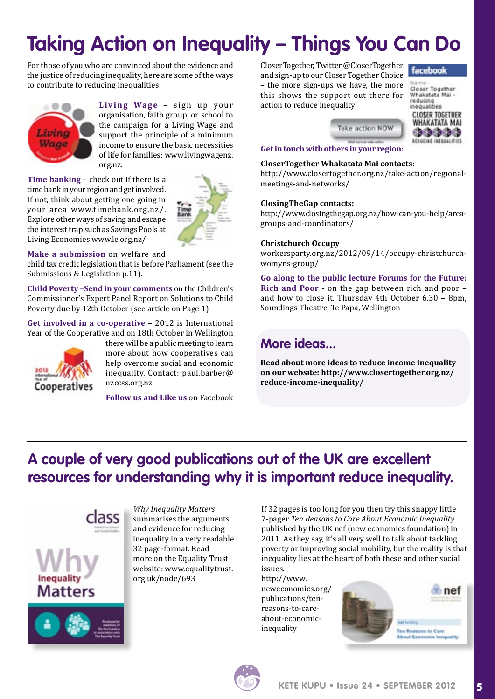# **Taking Action on Inequality – Things You Can Do**

For those of you who are convinced about the evidence and the justice of reducing inequality, here are some of the ways to contribute to reducing inequalities.



Living Wage - sign up your organisation, faith group, or school to the campaign for a Living Wage and support the principle of a minimum income to ensure the basic necessities of life for families: [www.livingwagenz.](www.livingwagenz.org.nz) [org.nz.](www.livingwagenz.org.nz)

**Time banking** – check out if there is a time bank in your region and get involved. If not, think about getting one going in your area [www.timebank.org.nz](http://www.timebank.org.nz)/. Explore other ways of saving and escape the interest trap such as Savings Pools at Living Economies [www.le.org.nz](http://www.le.org.nz)/



**Make a submission** on welfare and

child tax credit legislation that is before Parliament (see the Submissions & Legislation p.11).

**Child Poverty –Send in your comments** on the Children's Commissioner's Expert Panel Report on Solutions to Child Poverty due by 12th October (see article on Page 1)

**Get involved in a co-operative** – 2012 is International Year of the Cooperative and on 18th October in Wellington



there will be a public meeting to learn more about how cooperatives can help overcome social and economic inequality. Contact: [paul.barber@](mailto:paul.barber@nzccss.org.nz) [nzccss.org.nz](mailto:paul.barber@nzccss.org.nz)

**Follow us and Like us** on Facebook

CloserTogether, Twitter @CloserTogether and sign-up to our Closer Together Choice – the more sign-ups we have, the more this shows the support out there for action to reduce inequality



Closer Together Whakatata Mai reducing inequalities **CLOSER TOGETHER** WHAKATATA MAI **Cacacacaca REDUCING INFORMATIONS** 

**Get in touch with [others in your region:](http://www.closertogether.org.nz/take-action/)**

#### **CloserTogether Whakatata Mai contacts:**

http://www.closertogether.org.nz/take-action/regionalmeetings-and-networks/

Take action NOW

**Glid hand in** 

#### **ClosingTheGap contacts:**

http://www.closingthegap.org.nz/how-can-you-help/areagroups-and-coordinators/

#### **Christchurch Occupy**

[workersparty.org.nz/2012/09/14/occupy](http://workersparty.org.nz/2012/09/14/occupy)-christchurchwomyns-group/

**Go along to the public lecture Forums for the Future: Rich and Poor** - on the gap between rich and poor – and how to close it. Thursday 4th October 6.30 – 8pm, Soundings Theatre, Te Papa, Wellington

### **More ideas...**

**Read about more ideas to reduce income inequality on our website: http://www.closertogether.org.nz/ reduce-income-inequality/**

### **A couple of very good publications out of the UK are excellent resources for understanding why it is important reduce inequality.**





*Why Inequality Matters*  summarises the arguments and evidence for reducing inequality in a very readable 32 page-format. Read more on the Equality Trust website: [www.equalitytrust.](http://www.equalitytrust.org.uk/node/693) [org.uk/node/693](http://www.equalitytrust.org.uk/node/693)

If 32 pages is too long for you then try this snappy little 7-pager *Ten Reasons to Care About Economic Inequality*  published by the UK nef (new economics foundation) in 2011. As they say, it's all very well to talk about tackling poverty or improving social mobility, but the reality is that inequality lies at the heart of both these and other social issues.

[http://www.](http://www.neweconomics.org/publications/ten-reasons-to-care-about-economic-inequality) [neweconomics.org/](http://www.neweconomics.org/publications/ten-reasons-to-care-about-economic-inequality) [publications/ten](http://www.neweconomics.org/publications/ten-reasons-to-care-about-economic-inequality)[reasons-to-care](http://www.neweconomics.org/publications/ten-reasons-to-care-about-economic-inequality)[about-economic](http://www.neweconomics.org/publications/ten-reasons-to-care-about-economic-inequality)[inequality](http://www.neweconomics.org/publications/ten-reasons-to-care-about-economic-inequality)



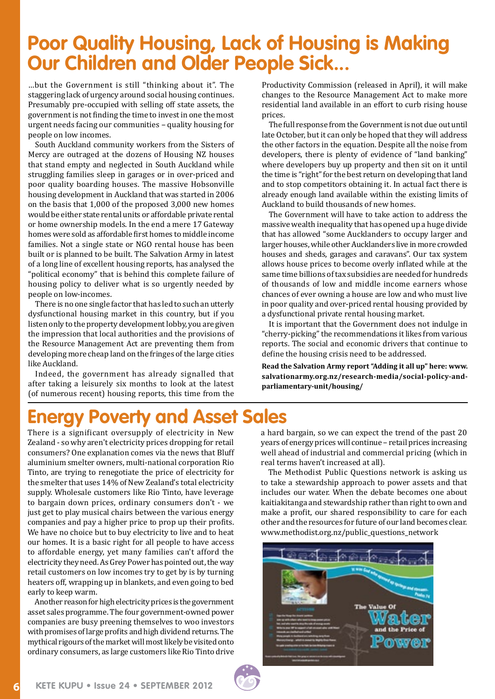### **Poor Quality Housing, Lack of Housing is Making Our Children and Older People Sick...**

…but the Government is still "thinking about it". The staggering lack of urgency around social housing continues. Presumably pre-occupied with selling off state assets, the government is not finding the time to invest in one the most urgent needs facing our communities – quality housing for people on low incomes.

South Auckland community workers from the Sisters of Mercy are outraged at the dozens of Housing NZ houses that stand empty and neglected in South Auckland while struggling families sleep in garages or in over-priced and poor quality boarding houses. The massive Hobsonville housing development in Auckland that was started in 2006 on the basis that 1,000 of the proposed 3,000 new homes would be either state rental units or affordable private rental or home ownership models. In the end a mere 17 Gateway homes were sold as affordable first homes to middle income families. Not a single state or NGO rental house has been built or is planned to be built. The Salvation Army in latest of a long line of excellent housing reports, has analysed the "political economy" that is behind this complete failure of housing policy to deliver what is so urgently needed by people on low-incomes.

There is no one single factor that has led to such an utterly dysfunctional housing market in this country, but if you listen only to the property development lobby, you are given the impression that local authorities and the provisions of the Resource Management Act are preventing them from developing more cheap land on the fringes of the large cities like Auckland.

Indeed, the government has already signalled that after taking a leisurely six months to look at the latest (of numerous recent) housing reports, this time from the

Productivity Commission (released in April), it will make changes to the Resource Management Act to make more residential land available in an effort to curb rising house prices.

The full response from the Government is not due out until late October, but it can only be hoped that they will address the other factors in the equation. Despite all the noise from developers, there is plenty of evidence of "land banking" where developers buy up property and then sit on it until the time is "right" for the best return on developing that land and to stop competitors obtaining it. In actual fact there is already enough land available within the existing limits of Auckland to build thousands of new homes.

The Government will have to take action to address the massive wealth inequality that has opened up a huge divide that has allowed "some Aucklanders to occupy larger and larger houses, while other Aucklanders live in more crowded houses and sheds, garages and caravans". Our tax system allows house prices to become overly inflated while at the same time billions of tax subsidies are needed for hundreds of thousands of low and middle income earners whose chances of ever owning a house are low and who must live in poor quality and over-priced rental housing provided by a dysfunctional private rental housing market.

It is important that the Government does not indulge in "cherry-picking" the recommendations it likes from various reports. The social and economic drivers that continue to define the housing crisis need to be addressed.

**Read the Salvation Army report "Adding it all up" here: [www.](http://www.salvationarmy.org.nz/research-media/social-policy-and-parliamentary-unit/housing) [salvationarmy.org.nz/research-media/social-policy-and](http://www.salvationarmy.org.nz/research-media/social-policy-and-parliamentary-unit/housing)[parliamentary-unit/housing](http://www.salvationarmy.org.nz/research-media/social-policy-and-parliamentary-unit/housing)/** 

### **Energy Poverty and Asset Sales**

There is a significant oversupply of electricity in New Zealand - so why aren't electricity prices dropping for retail consumers? One explanation comes via the news that Bluff aluminium smelter owners, multi-national corporation Rio Tinto, are trying to renegotiate the price of electricity for the smelter that uses 14% of New Zealand's total electricity supply. Wholesale customers like Rio Tinto, have leverage to bargain down prices, ordinary consumers don't - we just get to play musical chairs between the various energy companies and pay a higher price to prop up their profits. We have no choice but to buy electricity to live and to heat our homes. It is a basic right for all people to have access to affordable energy, yet many families can't afford the electricity they need. As Grey Power has pointed out, the way retail customers on low incomes try to get by is by turning heaters off, wrapping up in blankets, and even going to bed early to keep warm.

Another reason for high electricity prices is the government asset sales programme. The four government-owned power companies are busy preening themselves to woo investors with promises of large profits and high dividend returns. The mythical rigours of the market will most likely be visited onto ordinary consumers, as large customers like Rio Tinto drive

a hard bargain, so we can expect the trend of the past 20 years of energy prices will continue – retail prices increasing well ahead of industrial and commercial pricing (which in real terms haven't increased at all).

The Methodist Public Questions network is asking us to take a stewardship approach to power assets and that includes our water. When the debate becomes one about kaitiakitanga and stewardship rather than right to own and make a profit, our shared responsibility to care for each other and the resources for future of our land becomes clear. [www.methodist.org.nz/public\\_questions\\_network](http://www.methodist.org.nz/public_questions_network)



**6**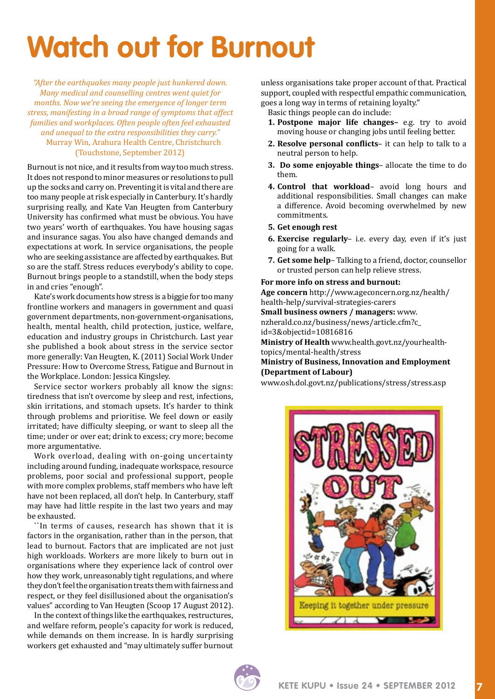# **Watch out for Burnout**

*"After the earthquakes many people just hunkered down. Many medical and counselling centres went quiet for months. Now we're seeing the emergence of longer term stress, manifesting in a broad range of symptoms that affect families and workplaces. Often people often feel exhausted and unequal to the extra responsibilities they carry."* Murray Win, Arahura Health Centre, Christchurch (Touchstone, September 2012)

Burnout is not nice, and it results from way too much stress. It does not respond to minor measures or resolutions to pull up the socks and carry on. Preventing it is vital and there are too many people at risk especially in Canterbury. It's hardly surprising really, and Kate Van Heugten from Canterbury University has confirmed what must be obvious. You have two years' worth of earthquakes. You have housing sagas and insurance sagas. You also have changed demands and expectations at work. In service organisations, the people who are seeking assistance are affected by earthquakes. But so are the staff. Stress reduces everybody's ability to cope. Burnout brings people to a standstill, when the body steps in and cries "enough".

Kate's work documents how stress is a biggie for too many frontline workers and managers in government and quasi government departments, non-government-organisations, health, mental health, child protection, justice, welfare, education and industry groups in Christchurch. Last year she published a book about stress in the service sector more generally: Van Heugten, K. (2011) Social Work Under Pressure: How to Overcome Stress, Fatigue and Burnout in the Workplace. London: Jessica Kingsley.

Service sector workers probably all know the signs: tiredness that isn't overcome by sleep and rest, infections, skin irritations, and stomach upsets. It's harder to think through problems and prioritise. We feel down or easily irritated; have difficulty sleeping, or want to sleep all the time; under or over eat; drink to excess; cry more; become more argumentative.

Work overload, dealing with on-going uncertainty including around funding, inadequate workspace, resource problems, poor social and professional support, people with more complex problems, staff members who have left have not been replaced, all don't help. In Canterbury, staff may have had little respite in the last two years and may be exhausted.

``In terms of causes, research has shown that it is factors in the organisation, rather than in the person, that lead to burnout. Factors that are implicated are not just high workloads. Workers are more likely to burn out in organisations where they experience lack of control over how they work, unreasonably tight regulations, and where they don't feel the organisation treats them with fairness and respect, or they feel disillusioned about the organisation's values" according to Van Heugten (Scoop 17 August 2012).

In the context of things like the earthquakes, restructures, and welfare reform, people's capacity for work is reduced, while demands on them increase. In is hardly surprising workers get exhausted and "may ultimately suffer burnout unless organisations take proper account of that. Practical support, coupled with respectful empathic communication, goes a long way in terms of retaining loyalty.''

Basic things people can do include:

- **1. Postpone major life changes–** e.g. try to avoid moving house or changing jobs until feeling better.
- **2. Resolve personal conflicts** it can help to talk to a neutral person to help.
- **3. Do some enjoyable things** allocate the time to do them.
- **4. Control that workload** avoid long hours and additional responsibilities. Small changes can make a difference. Avoid becoming overwhelmed by new commitments.
- **5. Get enough rest**
- **6. Exercise regularly** i.e. every day, even if it's just going for a walk.
- **7. Get some help** Talking to a friend, doctor, counsellor or trusted person can help relieve stress.

#### **For more info on stress and burnout:**

**Age concern** http://www.ageconcern.org.nz/health/ health-help/survival-strategies-carers **Small business owners / managers:** [www.](http://www.nzherald.co.nz/business/news/article.cfm?c_id=3&objectid=10816816) [nzherald.co.nz/business/news/article.cfm?c\\_](http://www.nzherald.co.nz/business/news/article.cfm?c_id=3&objectid=10816816) [id=3&objectid=10816816](http://www.nzherald.co.nz/business/news/article.cfm?c_id=3&objectid=10816816) **Ministry of Health** [www.health.govt.nz/yourhealth-](http://www.health.govt.nz/yourhealth-topics/mental-health/stress)

[topics/mental-health/stress](http://www.health.govt.nz/yourhealth-topics/mental-health/stress)

#### **Ministry of Business, Innovation and Employment (Department of Labour)**

[www.osh.dol.govt.nz/publications/stress/stress.asp](http://www.osh.dol.govt.nz/publications/stress/stress.asp)





**7**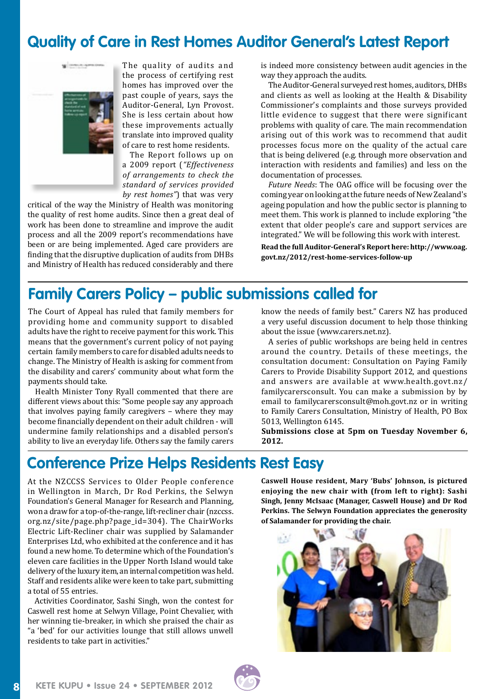### **Quality of Care in Rest Homes Auditor General's Latest Report**



The quality of audits and the process of certifying rest homes has improved over the past couple of years, says the Auditor-General, Lyn Provost. She is less certain about how these improvements actually translate into improved quality of care to rest home residents.

The Report follows up on a 2009 report (*"Effectiveness of arrangements to check the standard of services provided by rest homes"*) that was very

critical of the way the Ministry of Health was monitoring the quality of rest home audits. Since then a great deal of work has been done to streamline and improve the audit process and all the 2009 report's recommendations have been or are being implemented. Aged care providers are finding that the disruptive duplication of audits from DHBs and Ministry of Health has reduced considerably and there

is indeed more consistency between audit agencies in the way they approach the audits.

The Auditor-General surveyed rest homes, auditors, DHBs and clients as well as looking at the Health & Disability Commissioner's complaints and those surveys provided little evidence to suggest that there were significant problems with quality of care. The main recommendation arising out of this work was to recommend that audit processes focus more on the quality of the actual care that is being delivered (e.g. through more observation and interaction with residents and families) and less on the documentation of processes.

*Future Needs*: The OAG office will be focusing over the coming year on looking at the future needs of New Zealand's ageing population and how the public sector is planning to meet them. This work is planned to include exploring "the extent that older people's care and support services are integrated." We will be following this work with interest.

**Read the full Auditor-General's Report here: http://www.oag. govt.nz/2012/rest-home-services-follow-up**

### **Family Carers Policy – public submissions called for**

The Court of Appeal has ruled that family members for providing home and community support to disabled adults have the right to receive payment for this work. This means that the government's current policy of not paying certain family members to care for disabled adults needs to change. The Ministry of Health is asking for comment from the disability and carers' community about what form the payments should take.

Health Minister Tony Ryall commented that there are different views about this: "Some people say any approach that involves paying family caregivers – where they may become financially dependent on their adult children - will undermine family relationships and a disabled person's ability to live an everyday life. Others say the family carers know the needs of family best." Carers NZ has produced a very useful discussion document to help those thinking about the issue [\(www.carers.net.nz](www.carers.net.nz)).

A series of public workshops are being held in centres around the country. Details of these meetings, the consultation document: Consultation on Paying Family Carers to Provide Disability Support 2012, and questions and answers are available at [www.health.govt.nz/](www.health.govt.nz/familycarersconsult) [familycarersconsult.](www.health.govt.nz/familycarersconsult) You can make a submission by by email to [familycarersconsult@moh.govt.nz](mailto:familycarersconsult@moh.govt.nz) or in writing to Family Carers Consultation, Ministry of Health, PO Box 5013, Wellington 6145.

**Submissions close at 5pm on Tuesday November 6, 2012.**

### **Conference Prize Helps Residents Rest Easy**

At the NZCCSS Services to Older People conference in Wellington in March, Dr Rod Perkins, the Selwyn Foundation's General Manager for Research and Planning, won a draw for a top-of-the-range, lift-recliner chair ([nzccss.](http://nzccss.org.nz/site/page.php?page_id=304) [org.nz/site/page.php?page\\_id=304](http://nzccss.org.nz/site/page.php?page_id=304)). The ChairWorks Electric Lift-Recliner chair was supplied by Salamander Enterprises Ltd, who exhibited at the conference and it has found a new home. To determine which of the Foundation's eleven care facilities in the Upper North Island would take delivery of the luxury item, an internal competition was held. Staff and residents alike were keen to take part, submitting a total of 55 entries.

Activities Coordinator, Sashi Singh, won the contest for Caswell rest home at Selwyn Village, Point Chevalier, with her winning tie-breaker, in which she praised the chair as "a 'bed' for our activities lounge that still allows unwell residents to take part in activities."

**Caswell House resident, Mary 'Bubs' Johnson, is pictured enjoying the new chair with (from left to right): Sashi Singh, Jenny McIsaac (Manager, Caswell House) and Dr Rod Perkins. The Selwyn Foundation appreciates the generosity of Salamander for providing the chair.**



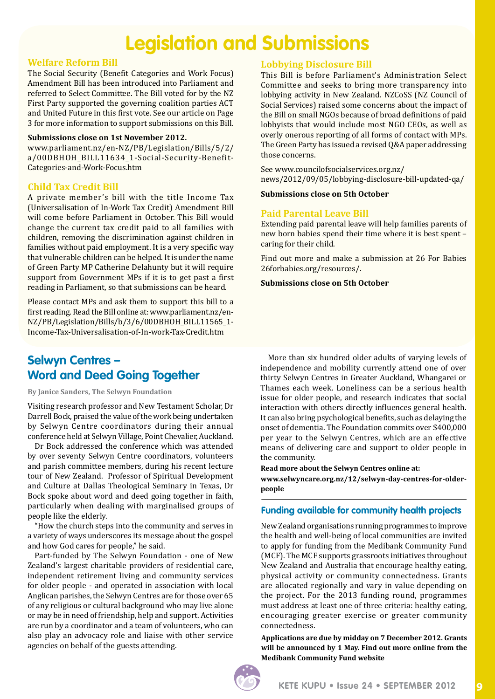### **Legislation and Submissions**

#### **Welfare Reform Bill**

The Social Security (Benefit Categories and Work Focus) Amendment Bill has been introduced into Parliament and referred to Select Committee. The Bill voted for by the NZ First Party supported the governing coalition parties ACT and United Future in this first vote. See our article on Page 3 for more information to support submissions on this Bill.

#### **Submissions close on 1st November 2012.**

[www.parliament.nz/en-NZ/PB/Legislation/Bills/5/2/](http://www.parliament.nz/en-NZ/PB/Legislation/Bills/5/2/a/00DBHOH_BILL11634_1-Social-Security-Benefit-Categories-and-Work-Focus.htm) [a/00DBHOH\\_BILL11634\\_1-Social-Security-Benefit-](http://www.parliament.nz/en-NZ/PB/Legislation/Bills/5/2/a/00DBHOH_BILL11634_1-Social-Security-Benefit-Categories-and-Work-Focus.htm)[Categories-and-Work-Focus.htm](http://www.parliament.nz/en-NZ/PB/Legislation/Bills/5/2/a/00DBHOH_BILL11634_1-Social-Security-Benefit-Categories-and-Work-Focus.htm) 

### **Child Tax Credit Bill**

A private member's bill with the title Income Tax (Universalisation of In-Work Tax Credit) Amendment Bill will come before Parliament in October. This Bill would change the current tax credit paid to all families with children, removing the discrimination against children in families without paid employment. It is a very specific way that vulnerable children can be helped. It is under the name of Green Party MP Catherine Delahunty but it will require support from Government MPs if it is to get past a first reading in Parliament, so that submissions can be heard.

Please contact MPs and ask them to support this bill to a first reading. Read the Bill online at: [www.parliament.nz/en-](http://www.parliament.nz/en-NZ/PB/Legislation/Bills/b/3/6/00DBHOH_BILL11565_1-Income-Tax-Universalisation-of-In-work-Tax-Credit.htm)[NZ/PB/Legislation/Bills/b/3/6/00DBHOH\\_BILL11565\\_1-](http://www.parliament.nz/en-NZ/PB/Legislation/Bills/b/3/6/00DBHOH_BILL11565_1-Income-Tax-Universalisation-of-In-work-Tax-Credit.htm) [Income-Tax-Universalisation-of-In-work-Tax-Credit.htm](http://www.parliament.nz/en-NZ/PB/Legislation/Bills/b/3/6/00DBHOH_BILL11565_1-Income-Tax-Universalisation-of-In-work-Tax-Credit.htm)

### **Selwyn Centres – Word and Deed Going Together**

**By Janice Sanders, The Selwyn Foundation** 

Visiting research professor and New Testament Scholar, Dr Darrell Bock, praised the value of the work being undertaken by Selwyn Centre coordinators during their annual conference held at Selwyn Village, Point Chevalier, Auckland.

Dr Bock addressed the conference which was attended by over seventy Selwyn Centre coordinators, volunteers and parish committee members, during his recent lecture tour of New Zealand. Professor of Spiritual Development and Culture at Dallas Theological Seminary in Texas, Dr Bock spoke about word and deed going together in faith, particularly when dealing with marginalised groups of people like the elderly.

"How the church steps into the community and serves in a variety of ways underscores its message about the gospel and how God cares for people," he said.

Part-funded by The Selwyn Foundation - one of New Zealand's largest charitable providers of residential care, independent retirement living and community services for older people - and operated in association with local Anglican parishes, the Selwyn Centres are for those over 65 of any religious or cultural background who may live alone or may be in need of friendship, help and support. Activities are run by a coordinator and a team of volunteers, who can also play an advocacy role and liaise with other service agencies on behalf of the guests attending.

### **Lobbying Disclosure Bill**

This Bill is before Parliament's Administration Select Committee and seeks to bring more transparency into lobbying activity in New Zealand. NZCoSS (NZ Council of Social Services) raised some concerns about the impact of the Bill on small NGOs because of broad definitions of paid lobbyists that would include most NGO CEOs, as well as overly onerous reporting of all forms of contact with MPs. The Green Party has issued a revised Q&A paper addressing those concerns.

See [www.councilofsocialservices.org.nz/](http://www.councilofsocialservices.org.nz/news/2012/09/05/lobbying) [news/2012/09/05/lobbying](http://www.councilofsocialservices.org.nz/news/2012/09/05/lobbying)-disclosure-bill-updated-qa/

#### **Submissions close on 5th October**

### **Paid Parental Leave Bill**

Extending paid parental leave will help families parents of new born babies spend their time where it is best spent – caring for their child.

Find out more and make a submission at 26 For Babies [26forbabies.org/resources/](http://26forbabies.org/resources).

#### **Submissions close on 5th October**

More than six hundred older adults of varying levels of independence and mobility currently attend one of over thirty Selwyn Centres in Greater Auckland, Whangarei or Thames each week. Loneliness can be a serious health issue for older people, and research indicates that social interaction with others directly influences general health. It can also bring psychological benefits, such as delaying the onset of dementia. The Foundation commits over \$400,000 per year to the Selwyn Centres, which are an effective means of delivering care and support to older people in the community.

**Read more about the Selwyn Centres online at: www.selwyncare.org.nz/12/selwyn-day-centres-for-olderpeople** 

### **Funding available for community health projects**

New Zealand organisations running programmes to improve the health and well-being of local communities are invited to apply for funding from the Medibank Community Fund (MCF). The MCF supports grassroots initiatives throughout New Zealand and Australia that encourage healthy eating, physical activity or community connectedness. Grants are allocated regionally and vary in value depending on the project. For the 2013 funding round, programmes must address at least one of three criteria: healthy eating, encouraging greater exercise or greater community connectedness.

**Applications are due by midday on 7 December 2012. Grants will be announced by 1 May. Find out more online from the Medibank Community Fund website**